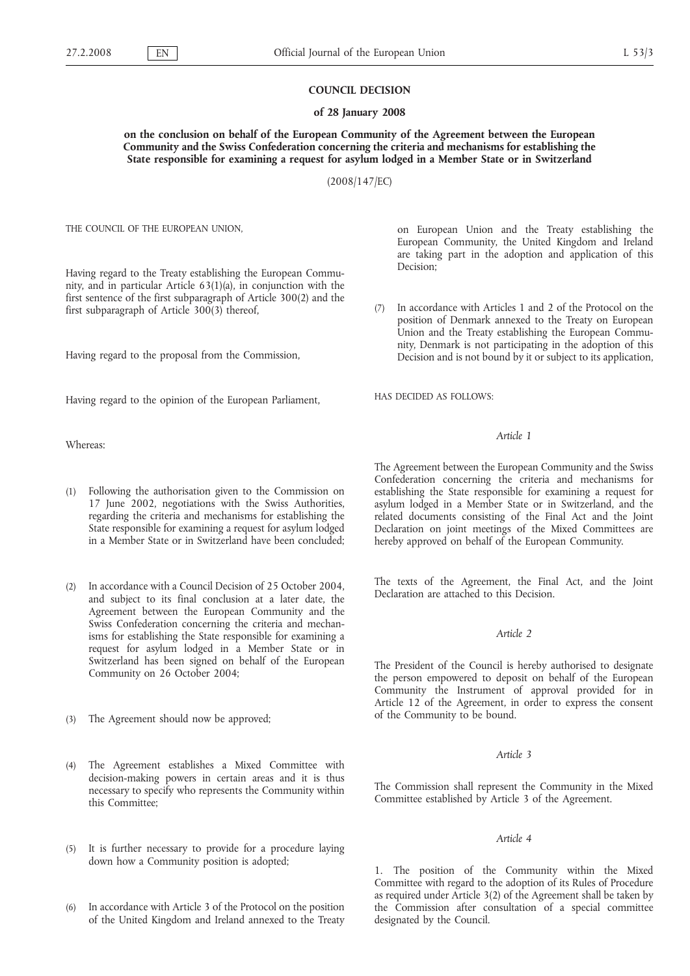#### **COUNCIL DECISION**

### **of 28 January 2008**

**on the conclusion on behalf of the European Community of the Agreement between the European Community and the Swiss Confederation concerning the criteria and mechanisms for establishing the State responsible for examining a request for asylum lodged in a Member State or in Switzerland**

(2008/147/EC)

THE COUNCIL OF THE EUROPEAN UNION,

Having regard to the Treaty establishing the European Community, and in particular Article 63(1)(a), in conjunction with the first sentence of the first subparagraph of Article 300(2) and the first subparagraph of Article  $300(3)$  thereof,

Having regard to the proposal from the Commission,

Having regard to the opinion of the European Parliament,

Whereas:

- Following the authorisation given to the Commission on 17 June 2002, negotiations with the Swiss Authorities, regarding the criteria and mechanisms for establishing the State responsible for examining a request for asylum lodged in a Member State or in Switzerland have been concluded;
- (2) In accordance with a Council Decision of 25 October 2004, and subject to its final conclusion at a later date, the Agreement between the European Community and the Swiss Confederation concerning the criteria and mechanisms for establishing the State responsible for examining a request for asylum lodged in a Member State or in Switzerland has been signed on behalf of the European Community on 26 October 2004;
- (3) The Agreement should now be approved;
- (4) The Agreement establishes a Mixed Committee with decision-making powers in certain areas and it is thus necessary to specify who represents the Community within this Committee;
- (5) It is further necessary to provide for a procedure laying down how a Community position is adopted;
- In accordance with Article 3 of the Protocol on the position of the United Kingdom and Ireland annexed to the Treaty

on European Union and the Treaty establishing the European Community, the United Kingdom and Ireland are taking part in the adoption and application of this Decision;

(7) In accordance with Articles 1 and 2 of the Protocol on the position of Denmark annexed to the Treaty on European Union and the Treaty establishing the European Community, Denmark is not participating in the adoption of this Decision and is not bound by it or subject to its application,

HAS DECIDED AS FOLLOWS:

# *Article 1*

The Agreement between the European Community and the Swiss Confederation concerning the criteria and mechanisms for establishing the State responsible for examining a request for asylum lodged in a Member State or in Switzerland, and the related documents consisting of the Final Act and the Joint Declaration on joint meetings of the Mixed Committees are hereby approved on behalf of the European Community.

The texts of the Agreement, the Final Act, and the Joint Declaration are attached to this Decision.

### *Article 2*

The President of the Council is hereby authorised to designate the person empowered to deposit on behalf of the European Community the Instrument of approval provided for in Article 12 of the Agreement, in order to express the consent of the Community to be bound.

## *Article 3*

The Commission shall represent the Community in the Mixed Committee established by Article 3 of the Agreement.

#### *Article 4*

1. The position of the Community within the Mixed Committee with regard to the adoption of its Rules of Procedure as required under Article 3(2) of the Agreement shall be taken by the Commission after consultation of a special committee designated by the Council.